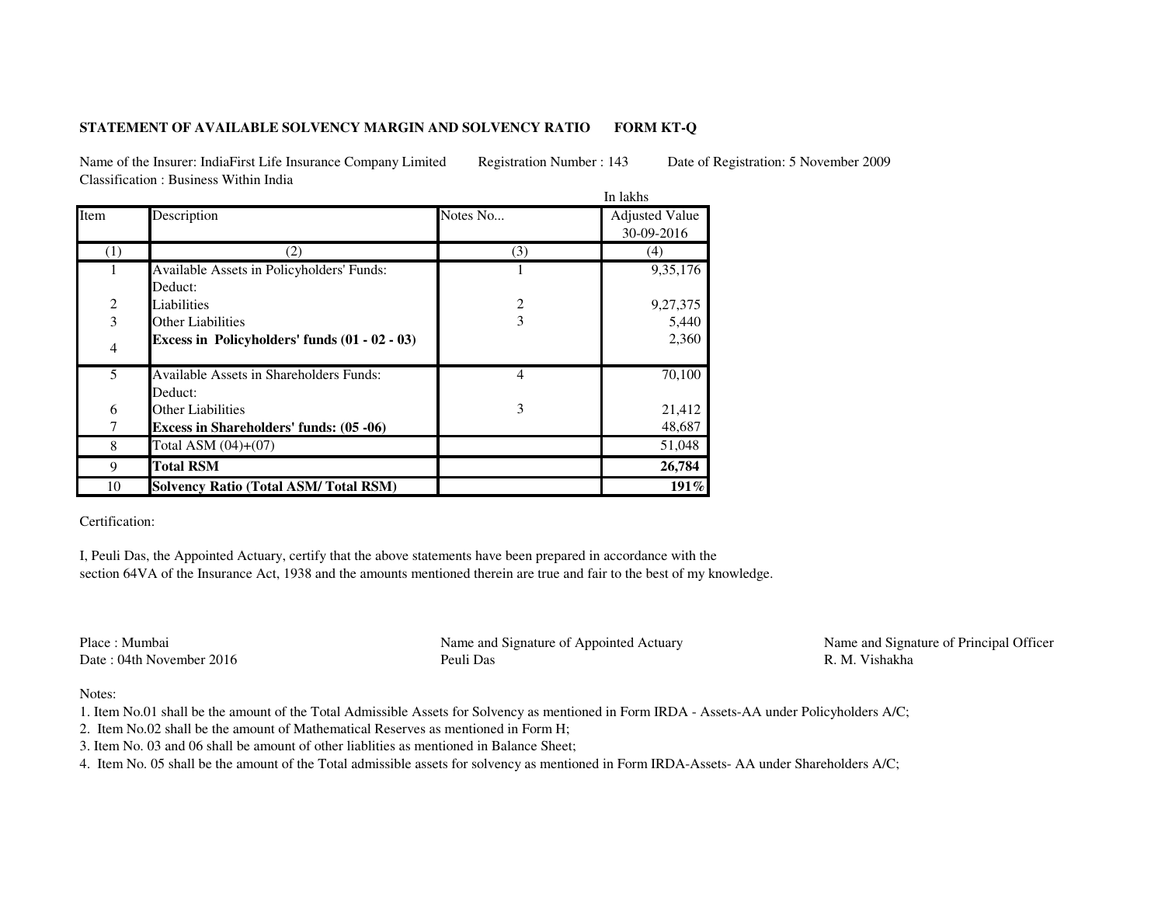## **STATEMENT OF AVAILABLE SOLVENCY MARGIN AND SOLVENCY RATIOFORM KT-Q**

Name of the Insurer: IndiaFirst Life Insurance Company Limited Registration Number : 143 Date of Registration: 5 November 2009Classification : Business Within India

|                |                                                           | In lakhs |                                     |
|----------------|-----------------------------------------------------------|----------|-------------------------------------|
| Item           | Description                                               | Notes No | <b>Adjusted Value</b><br>30-09-2016 |
| (1)            | (2)                                                       | (3)      | (4)                                 |
| 1              | Available Assets in Policyholders' Funds:<br>Deduct:      |          | 9,35,176                            |
|                | Liabilities                                               | 2        | 9,27,375                            |
| $\frac{2}{3}$  | <b>Other Liabilities</b>                                  | 3        | 5,440                               |
| $\overline{4}$ | Excess in Policyholders' funds (01 - 02 - 03)             |          | 2,360                               |
| 5              | <b>Available Assets in Shareholders Funds:</b><br>Deduct: | 4        | 70,100                              |
| 6              | Other Liabilities                                         | 3        | 21,412                              |
| 7              | Excess in Shareholders' funds: (05 -06)                   |          | 48,687                              |
| 8              | Total ASM $(04)+(07)$                                     |          | 51,048                              |
| 9              | <b>Total RSM</b>                                          |          | 26,784                              |
| 10             | <b>Solvency Ratio (Total ASM/Total RSM)</b>               |          | $191\%$                             |

Certification:

I, Peuli Das, the Appointed Actuary, certify that the above statements have been prepared in accordance with the section 64VA of the Insurance Act, 1938 and the amounts mentioned therein are true and fair to the best of my knowledge.

Place : MumbaiDate : 04th November 2016 Peuli Das

Name and Signature of Appointed Actuary Name and Signature of Principal Officer

R. M. Vishakha

Notes:

- 1. Item No.01 shall be the amount of the Total Admissible Assets for Solvency as mentioned in Form IRDA Assets-AA under Policyholders A/C;
- 2. Item No.02 shall be the amount of Mathematical Reserves as mentioned in Form H;
- 3. Item No. 03 and 06 shall be amount of other liablities as mentioned in Balance Sheet;
- 4. Item No. 05 shall be the amount of the Total admissible assets for solvency as mentioned in Form IRDA-Assets- AA under Shareholders A/C;